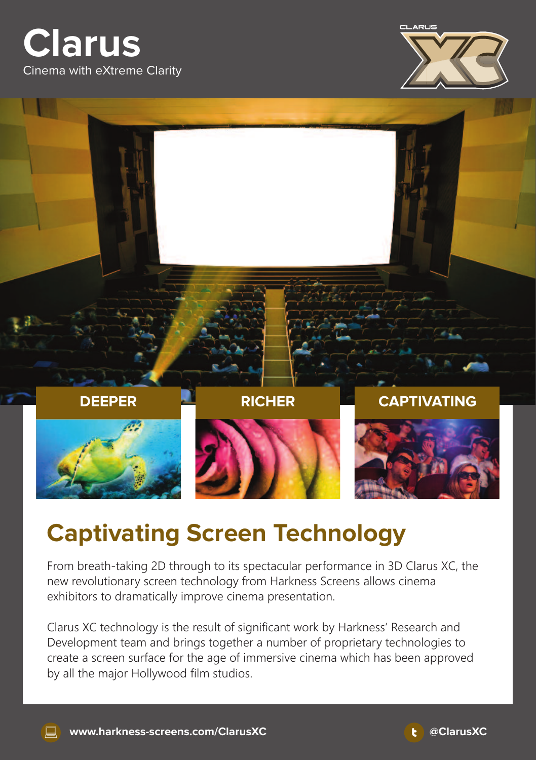## **Clarus** Cinema with eXtreme Clarity



## **Captivating Screen Technology**

From breath-taking 2D through to its spectacular performance in 3D Clarus XC, the new revolutionary screen technology from Harkness Screens allows cinema exhibitors to dramatically improve cinema presentation.

Clarus XC technology is the result of significant work by Harkness' Research and Development team and brings together a number of proprietary technologies to create a screen surface for the age of immersive cinema which has been approved by all the major Hollywood film studios.